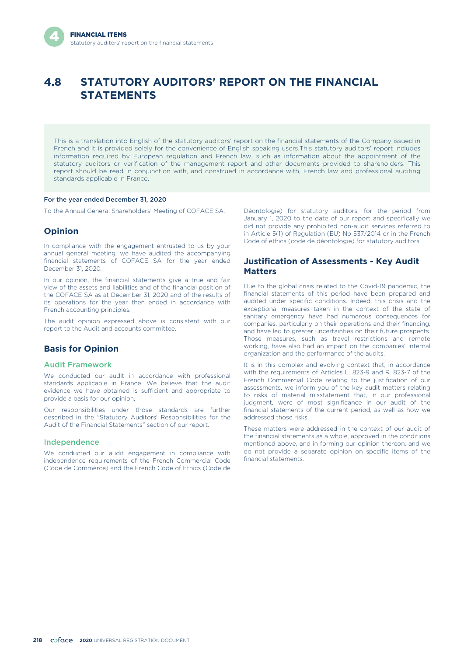# **4.8 STATUTORY AUDITORS' REPORT ON THE FINANCIAL STATEMENTS**

This is a translation into English of the statutory auditors' report on the financial statements of the Company issued in French and it is provided solely for the convenience of English speaking users.This statutory auditors' report includes information required by European regulation and French law, such as information about the appointment of the statutory auditors or verification of the management report and other documents provided to shareholders. This report should be read in conjunction with, and construed in accordance with, French law and professional auditing standards applicable in France.

#### For the year ended December 31, 2020

To the Annual General Shareholders' Meeting of COFACE SA.

### **Opinion**

In compliance with the engagement entrusted to us by your annual general meeting, we have audited the accompanying financial statements of COFACE SA for the year ended December 31, 2020*.*

In our opinion, the financial statements give a true and fair view of the assets and liabilities and of the financial position of the COFACE SA as at December 31, 2020 and of the results of its operations for the year then ended in accordance with French accounting principles.

The audit opinion expressed above is consistent with our report to the Audit and accounts committee.

# **Basis for Opinion**

#### Audit Framework

We conducted our audit in accordance with professional standards applicable in France. We believe that the audit evidence we have obtained is sufficient and appropriate to provide a basis for our opinion.

Our responsibilities under those standards are further described in the "Statutory Auditors' Responsibilities for the Audit of the Financial Statements" section of our report.

#### Independence

We conducted our audit engagement in compliance with independence requirements of the French Commercial Code (Code de Commerce) and the French Code of Ethics (Code de

Déontologie) for statutory auditors, for the period from January 1, 2020 to the date of our report and specifically we did not provide any prohibited non-audit services referred to in Article 5(1) of Regulation (EU) No 537/2014 or in the French Code of ethics (code de déontologie) for statutory auditors.

## **Justification of Assessments - Key Audit Matters**

Due to the global crisis related to the Covid-19 pandemic, the financial statements of this period have been prepared and audited under specific conditions. Indeed, this crisis and the exceptional measures taken in the context of the state of sanitary emergency have had numerous consequences for companies, particularly on their operations and their financing, and have led to greater uncertainties on their future prospects. Those measures, such as travel restrictions and remote working, have also had an impact on the companies' internal organization and the performance of the audits.

It is in this complex and evolving context that, in accordance with the requirements of Articles L. 823-9 and R. 823-7 of the French Commercial Code relating to the justification of our assessments, we inform you of the key audit matters relating to risks of material misstatement that, in our professional judgment, were of most significance in our audit of the financial statements of the current period, as well as how we addressed those risks.

These matters were addressed in the context of our audit of the financial statements as a whole, approved in the conditions mentioned above, and in forming our opinion thereon, and we do not provide a separate opinion on specific items of the financial statements.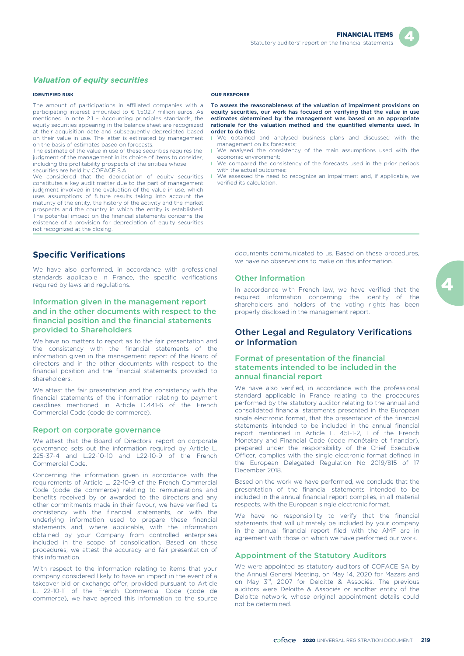

### *Valuation of equity securities*

| The amount of participations in affiliated companies with a<br>participating interest amounted to $\epsilon$ 1,502.7 million euros. As<br>mentioned in note 2.1 - Accounting principles standards, the<br>equity securities appearing in the balance sheet are recognized<br>at their acquisition date and subsequently depreciated based<br>order to do this:<br>on their value in use. The latter is estimated by management<br>management on its forecasts:<br>on the basis of estimates based on forecasts.<br>The estimate of the value in use of these securities requires the<br>economic environment:<br>judgment of the management in its choice of items to consider,<br>including the profitability prospects of the entities whose<br>with the actual outcomes:<br>securities are held by COFACE S.A.<br>We considered that the depreciation of equity securities<br>verified its calculation.<br>constitutes a key audit matter due to the part of management<br>judgment involved in the evaluation of the value in use, which<br>uses assumptions of future results taking into account the<br>maturity of the entity, the history of the activity and the market<br>prospects and the country in which the entity is established.<br>The potential impact on the financial statements concerns the<br>existence of a provision for depreciation of equity securities | <b>IDENTIFIED RISK</b> | <b>OUR RESPONSE</b>                                                                                                                                                                                                                                                                                                                                                                                                                                                                                                                                                                                 |
|--------------------------------------------------------------------------------------------------------------------------------------------------------------------------------------------------------------------------------------------------------------------------------------------------------------------------------------------------------------------------------------------------------------------------------------------------------------------------------------------------------------------------------------------------------------------------------------------------------------------------------------------------------------------------------------------------------------------------------------------------------------------------------------------------------------------------------------------------------------------------------------------------------------------------------------------------------------------------------------------------------------------------------------------------------------------------------------------------------------------------------------------------------------------------------------------------------------------------------------------------------------------------------------------------------------------------------------------------------------------------------------|------------------------|-----------------------------------------------------------------------------------------------------------------------------------------------------------------------------------------------------------------------------------------------------------------------------------------------------------------------------------------------------------------------------------------------------------------------------------------------------------------------------------------------------------------------------------------------------------------------------------------------------|
| not recognized at the closing.                                                                                                                                                                                                                                                                                                                                                                                                                                                                                                                                                                                                                                                                                                                                                                                                                                                                                                                                                                                                                                                                                                                                                                                                                                                                                                                                                       |                        | To assess the reasonableness of the valuation of impairment provisions or<br>equity securities, our work has focused on verifying that the value in use<br>estimates determined by the management was based on an appropriate<br>rationale for the valuation method and the quantified elements used. In<br>We obtained and analysed business plans and discussed with the<br>We analysed the consistency of the main assumptions used with the<br>We compared the consistency of the forecasts used in the prior periods<br>We assessed the need to recognize an impairment and, if applicable, we |

### **Specific Verifications**

We have also performed, in accordance with professional standards applicable in France, the specific verifications required by laws and regulations.

### Information given in the management report and in the other documents with respect to the financial position and the financial statements provided to Shareholders

We have no matters to report as to the fair presentation and the consistency with the financial statements of the information given in the management report of the Board of directors and in the other documents with respect to the financial position and the financial statements provided to shareholders.

We attest the fair presentation and the consistency with the financial statements of the information relating to payment deadlines mentioned in Article D.441-6 of the French Commercial Code (code de commerce).

#### Report on corporate governance

We attest that the Board of Directors' report on corporate governance sets out the information required by Article L. 225-37-4 and L.22-10-10 and L22-10-9 of the French Commercial Code.

Concerning the information given in accordance with the requirements of Article L. 22-10-9 of the French Commercial Code (code de commerce) relating to remunerations and benefits received by or awarded to the directors and any other commitments made in their favour, we have verified its consistency with the financial statements, or with the underlying information used to prepare these financial statements and, where applicable, with the information obtained by your Company from controlled enterprises included in the scope of consolidation. Based on these procedures, we attest the accuracy and fair presentation of this information.

With respect to the information relating to items that your company considered likely to have an impact in the event of a takeover bid or exchange offer, provided pursuant to Article L. 22-10-11 of the French Commercial Code (code de commerce), we have agreed this information to the source

documents communicated to us. Based on these procedures, we have no observations to make on this information.

#### Other Information

In accordance with French law, we have verified that the required information concerning the identity of the shareholders and holders of the voting rights has been properly disclosed in the management report.

# Other Legal and Regulatory Verifications or Information

#### Format of presentation of the financial statements intended to be included in the annual financial report

We have also verified, in accordance with the professional standard applicable in France relating to the procedures performed by the statutory auditor relating to the annual and consolidated financial statements presented in the European single electronic format, that the presentation of the financial statements intended to be included in the annual financial report mentioned in Article L. 451-1-2, I of the French Monetary and Financial Code (code monétaire et financier), prepared under the responsibility of the Chief Executive Officer, complies with the single electronic format defined in the European Delegated Regulation No 2019/815 of 17 December 2018.

Based on the work we have performed, we conclude that the presentation of the financial statements intended to be included in the annual financial report complies, in all material respects, with the European single electronic format.

We have no responsibility to verify that the financial statements that will ultimately be included by your company in the annual financial report filed with the AMF are in agreement with those on which we have performed our work.

#### Appointment of the Statutory Auditors

We were appointed as statutory auditors of COFACE SA by the Annual General Meeting, on May 14, 2020 for Mazars and on May 3rd, 2007 for Deloitte & Associés. The previous auditors were Deloitte & Associés or another entity of the Deloitte network, whose original appointment details could not be determined.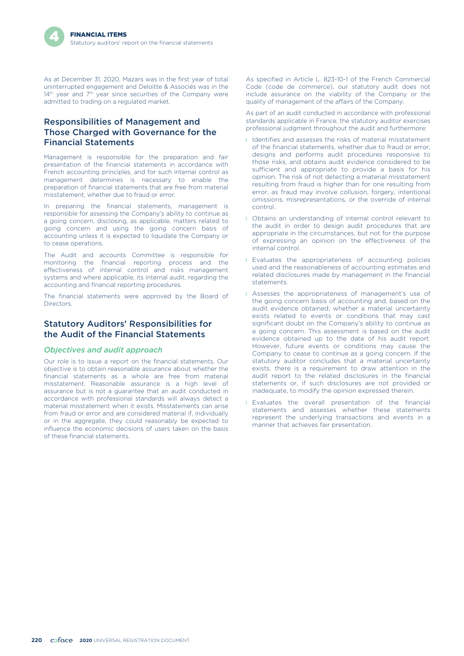As at December 31, 2020, Mazars was in the first year of total uninterrupted engagement and Deloitte & Associés was in the 14<sup>th</sup> year and 7<sup>th</sup> year since securities of the Company were admitted to trading on a regulated market.

# Responsibilities of Management and Those Charged with Governance for the Financial Statements

Management is responsible for the preparation and fair presentation of the financial statements in accordance with French accounting principles, and for such internal control as management determines is necessary to enable the preparation of financial statements that are free from material misstatement, whether due to fraud or error.

In preparing the financial statements, management is responsible for assessing the Company's ability to continue as a going concern, disclosing, as applicable, matters related to going concern and using the going concern basis of accounting unless it is expected to liquidate the Company or to cease operations.

The Audit and accounts Committee is responsible for monitoring the financial reporting process and the effectiveness of internal control and risks management systems and where applicable, its internal audit, regarding the accounting and financial reporting procedures.

The financial statements were approved by the Board of Directors.

# Statutory Auditors' Responsibilities for the Audit of the Financial Statements

#### *Objectives and audit approach*

Our role is to issue a report on the financial statements. Our objective is to obtain reasonable assurance about whether the financial statements as a whole are free from material misstatement. Reasonable assurance is a high level of assurance but is not a guarantee that an audit conducted in accordance with professional standards will always detect a material misstatement when it exists. Misstatements can arise from fraud or error and are considered material if, individually or in the aggregate, they could reasonably be expected to influence the economic decisions of users taken on the basis of these financial statements.

As specified in Article L. 823-10-1 of the French Commercial Code (code de commerce), our statutory audit does not include assurance on the viability of the Company or the quality of management of the affairs of the Company.

As part of an audit conducted in accordance with professional standards applicable in France, the statutory auditor exercises professional judgment throughout the audit and furthermore:

- **I** Identifies and assesses the risks of material misstatement of the financial statements, whether due to fraud or error, designs and performs audit procedures responsive to those risks, and obtains audit evidence considered to be sufficient and appropriate to provide a basis for his opinion. The risk of not detecting a material misstatement resulting from fraud is higher than for one resulting from error, as fraud may involve collusion, forgery, intentional omissions, misrepresentations, or the override of internal control.
- **I** Obtains an understanding of internal control relevant to the audit in order to design audit procedures that are appropriate in the circumstances, but not for the purpose of expressing an opinion on the effectiveness of the internal control.
- **I** Evaluates the appropriateness of accounting policies used and the reasonableness of accounting estimates and related disclosures made by management in the financial statements.
- **I** Assesses the appropriateness of management's use of the going concern basis of accounting and, based on the audit evidence obtained, whether a material uncertainty exists related to events or conditions that may cast significant doubt on the Company's ability to continue as a going concern. This assessment is based on the audit evidence obtained up to the date of his audit report. However, future events or conditions may cause the Company to cease to continue as a going concern. If the statutory auditor concludes that a material uncertainty exists, there is a requirement to draw attention in the audit report to the related disclosures in the financial statements or, if such disclosures are not provided or inadequate, to modify the opinion expressed therein.
- **I** Evaluates the overall presentation of the financial statements and assesses whether these statements represent the underlying transactions and events in a manner that achieves fair presentation.